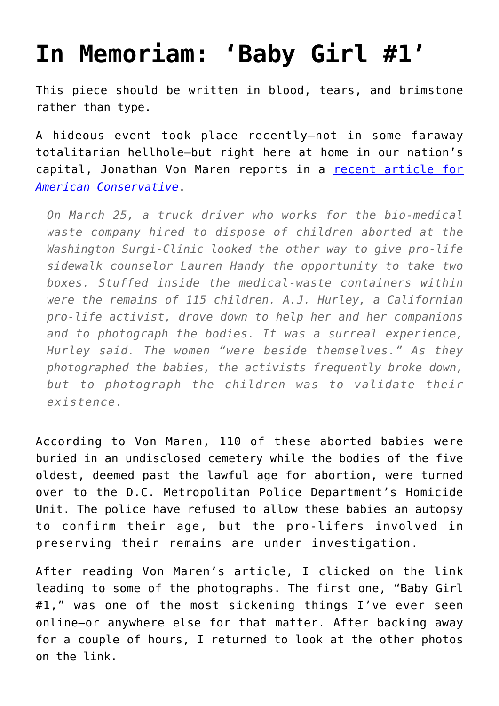## **[In Memoriam: 'Baby Girl #1'](https://intellectualtakeout.org/2022/05/in-memoriam-baby-girl-1/)**

This piece should be written in blood, tears, and brimstone rather than type.

A hideous event took place recently—not in some faraway totalitarian hellhole—but right here at home in our nation's capital, Jonathan Von Maren reports in a [recent article for](https://www.theamericanconservative.com/articles/honoring-cesare-santangelos-victims/) *[American Conservative](https://www.theamericanconservative.com/articles/honoring-cesare-santangelos-victims/)*.

*On March 25, a truck driver who works for the bio-medical waste company hired to dispose of children aborted at the Washington Surgi-Clinic looked the other way to give pro-life sidewalk counselor Lauren Handy the opportunity to take two boxes. Stuffed inside the medical-waste containers within were the remains of 115 children. A.J. Hurley, a Californian pro-life activist, drove down to help her and her companions and to photograph the bodies. It was a surreal experience, Hurley said. The women "were beside themselves." As they photographed the babies, the activists frequently broke down, but to photograph the children was to validate their existence.*

According to Von Maren, 110 of these aborted babies were buried in an undisclosed cemetery while the bodies of the five oldest, deemed past the lawful age for abortion, were turned over to the D.C. Metropolitan Police Department's Homicide Unit. The police have refused to allow these babies an autopsy to confirm their age, but the pro-lifers involved in preserving their remains are under investigation.

After reading Von Maren's article, I clicked on the link leading to some of the photographs. The first one, "Baby Girl #1," was one of the most sickening things I've ever seen online—or anywhere else for that matter. After backing away for a couple of hours, I returned to look at the other photos on the link.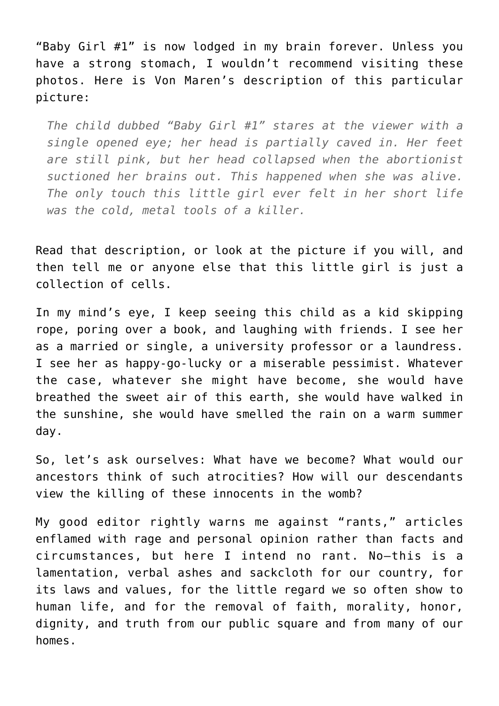"Baby Girl #1" is now lodged in my brain forever. Unless you have a strong stomach, I wouldn't recommend visiting these photos. Here is Von Maren's description of this particular picture:

*The child dubbed "Baby Girl #1" stares at the viewer with a single opened eye; her head is partially caved in. Her feet are still pink, but her head collapsed when the abortionist suctioned her brains out. This happened when she was alive. The only touch this little girl ever felt in her short life was the cold, metal tools of a killer.*

Read that description, or look at the picture if you will, and then tell me or anyone else that this little girl is just a collection of cells.

In my mind's eye, I keep seeing this child as a kid skipping rope, poring over a book, and laughing with friends. I see her as a married or single, a university professor or a laundress. I see her as happy-go-lucky or a miserable pessimist. Whatever the case, whatever she might have become, she would have breathed the sweet air of this earth, she would have walked in the sunshine, she would have smelled the rain on a warm summer day.

So, let's ask ourselves: What have we become? What would our ancestors think of such atrocities? How will our descendants view the killing of these innocents in the womb?

My good editor rightly warns me against "rants," articles enflamed with rage and personal opinion rather than facts and circumstances, but here I intend no rant. No—this is a lamentation, verbal ashes and sackcloth for our country, for its laws and values, for the little regard we so often show to human life, and for the removal of faith, morality, honor, dignity, and truth from our public square and from many of our homes.